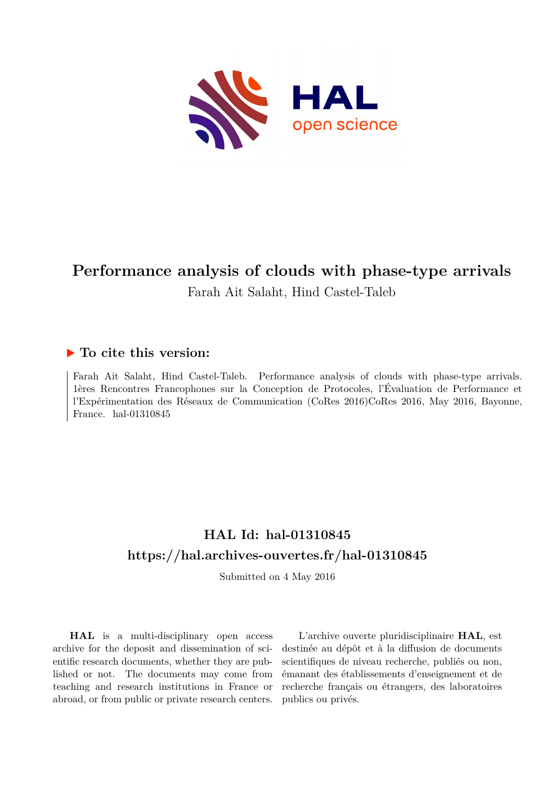

# **Performance analysis of clouds with phase-type arrivals** Farah Ait Salaht, Hind Castel-Taleb

## **To cite this version:**

Farah Ait Salaht, Hind Castel-Taleb. Performance analysis of clouds with phase-type arrivals. 1ères Rencontres Francophones sur la Conception de Protocoles, l'Évaluation de Performance et l'Expérimentation des Réseaux de Communication (CoRes 2016)CoRes 2016, May 2016, Bayonne, France. hal- $01310845$ 

## **HAL Id: hal-01310845 <https://hal.archives-ouvertes.fr/hal-01310845>**

Submitted on 4 May 2016

**HAL** is a multi-disciplinary open access archive for the deposit and dissemination of scientific research documents, whether they are published or not. The documents may come from teaching and research institutions in France or abroad, or from public or private research centers.

L'archive ouverte pluridisciplinaire **HAL**, est destinée au dépôt et à la diffusion de documents scientifiques de niveau recherche, publiés ou non, émanant des établissements d'enseignement et de recherche français ou étrangers, des laboratoires publics ou privés.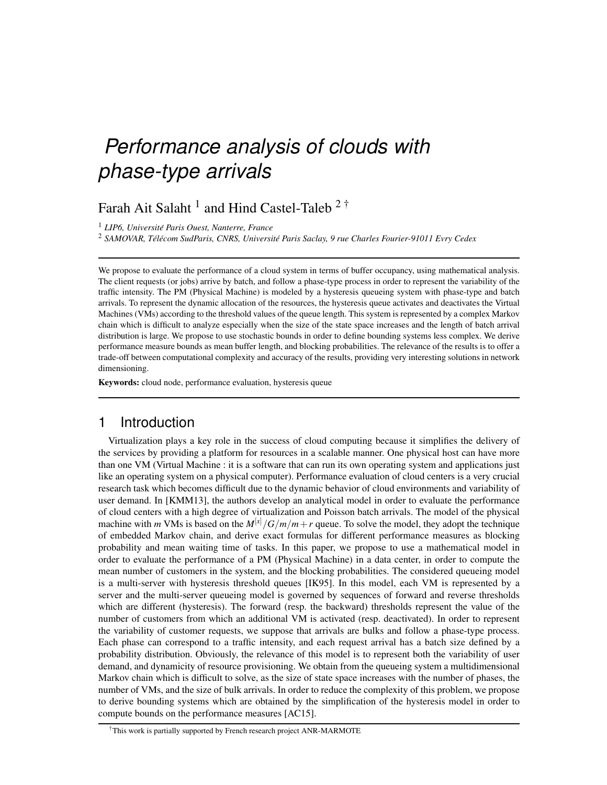# *Performance analysis of clouds with phase-type arrivals*

Farah Ait Salaht  $^1$  and Hind Castel-Taleb  $2^{\dagger}$ 

<sup>1</sup> *LIP6, Universite Paris Ouest, Nanterre, France ´*

<sup>2</sup> SAMOVAR, Télécom SudParis, CNRS, Université Paris Saclay, 9 rue Charles Fourier-91011 Evry Cedex

We propose to evaluate the performance of a cloud system in terms of buffer occupancy, using mathematical analysis. The client requests (or jobs) arrive by batch, and follow a phase-type process in order to represent the variability of the traffic intensity. The PM (Physical Machine) is modeled by a hysteresis queueing system with phase-type and batch arrivals. To represent the dynamic allocation of the resources, the hysteresis queue activates and deactivates the Virtual Machines (VMs) according to the threshold values of the queue length. This system is represented by a complex Markov chain which is difficult to analyze especially when the size of the state space increases and the length of batch arrival distribution is large. We propose to use stochastic bounds in order to define bounding systems less complex. We derive performance measure bounds as mean buffer length, and blocking probabilities. The relevance of the results is to offer a trade-off between computational complexity and accuracy of the results, providing very interesting solutions in network dimensioning.

Keywords: cloud node, performance evaluation, hysteresis queue

#### 1 Introduction

Virtualization plays a key role in the success of cloud computing because it simplifies the delivery of the services by providing a platform for resources in a scalable manner. One physical host can have more than one VM (Virtual Machine : it is a software that can run its own operating system and applications just like an operating system on a physical computer). Performance evaluation of cloud centers is a very crucial research task which becomes difficult due to the dynamic behavior of cloud environments and variability of user demand. In [KMM13], the authors develop an analytical model in order to evaluate the performance of cloud centers with a high degree of virtualization and Poisson batch arrivals. The model of the physical machine with *m* VMs is based on the  $M^{[x]}/G/m/m + r$  queue. To solve the model, they adopt the technique of embedded Markov chain, and derive exact formulas for different performance measures as blocking probability and mean waiting time of tasks. In this paper, we propose to use a mathematical model in order to evaluate the performance of a PM (Physical Machine) in a data center, in order to compute the mean number of customers in the system, and the blocking probabilities. The considered queueing model is a multi-server with hysteresis threshold queues [IK95]. In this model, each VM is represented by a server and the multi-server queueing model is governed by sequences of forward and reverse thresholds which are different (hysteresis). The forward (resp. the backward) thresholds represent the value of the number of customers from which an additional VM is activated (resp. deactivated). In order to represent the variability of customer requests, we suppose that arrivals are bulks and follow a phase-type process. Each phase can correspond to a traffic intensity, and each request arrival has a batch size defined by a probability distribution. Obviously, the relevance of this model is to represent both the variability of user demand, and dynamicity of resource provisioning. We obtain from the queueing system a multidimensional Markov chain which is difficult to solve, as the size of state space increases with the number of phases, the number of VMs, and the size of bulk arrivals. In order to reduce the complexity of this problem, we propose to derive bounding systems which are obtained by the simplification of the hysteresis model in order to compute bounds on the performance measures [AC15].

<sup>†</sup>This work is partially supported by French research project ANR-MARMOTE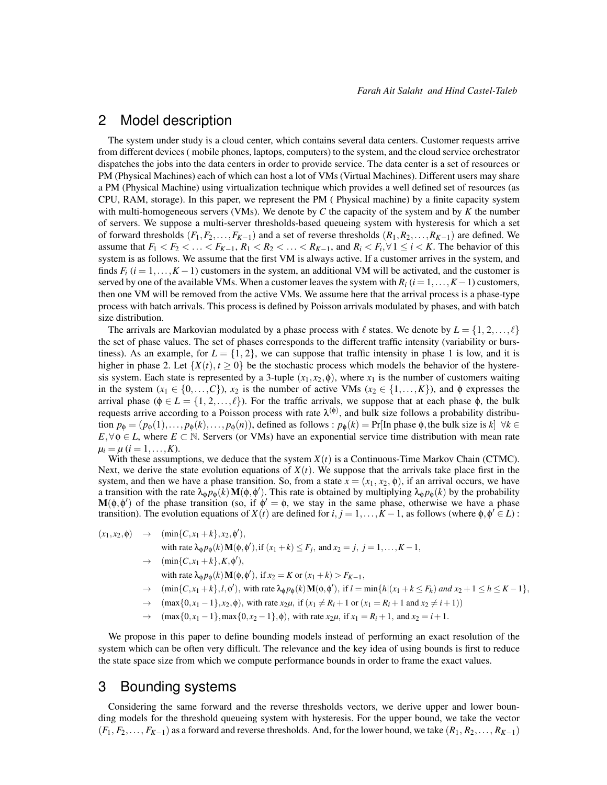#### 2 Model description

The system under study is a cloud center, which contains several data centers. Customer requests arrive from different devices ( mobile phones, laptops, computers) to the system, and the cloud service orchestrator dispatches the jobs into the data centers in order to provide service. The data center is a set of resources or PM (Physical Machines) each of which can host a lot of VMs (Virtual Machines). Different users may share a PM (Physical Machine) using virtualization technique which provides a well defined set of resources (as CPU, RAM, storage). In this paper, we represent the PM ( Physical machine) by a finite capacity system with multi-homogeneous servers (VMs). We denote by *C* the capacity of the system and by *K* the number of servers. We suppose a multi-server thresholds-based queueing system with hysteresis for which a set of forward thresholds  $(F_1, F_2, \ldots, F_{K-1})$  and a set of reverse thresholds  $(R_1, R_2, \ldots, R_{K-1})$  are defined. We assume that  $F_1 < F_2 < \ldots < F_{K-1}$ ,  $R_1 < R_2 < \ldots < R_{K-1}$ , and  $R_i < F_i$ ,  $\forall 1 \le i \le K$ . The behavior of this system is as follows. We assume that the first VM is always active. If a customer arrives in the system, and finds  $F_i$  ( $i = 1, \ldots, K - 1$ ) customers in the system, an additional VM will be activated, and the customer is served by one of the available VMs. When a customer leaves the system with  $R_i$  ( $i = 1, \ldots, K-1$ ) customers, then one VM will be removed from the active VMs. We assume here that the arrival process is a phase-type process with batch arrivals. This process is defined by Poisson arrivals modulated by phases, and with batch size distribution.

The arrivals are Markovian modulated by a phase process with  $\ell$  states. We denote by  $L = \{1, 2, \ldots, \ell\}$ the set of phase values. The set of phases corresponds to the different traffic intensity (variability or burstiness). As an example, for  $L = \{1, 2\}$ , we can suppose that traffic intensity in phase 1 is low, and it is higher in phase 2. Let  $\{X(t), t \ge 0\}$  be the stochastic process which models the behavior of the hysteresis system. Each state is represented by a 3-tuple  $(x_1, x_2, \phi)$ , where  $x_1$  is the number of customers waiting in the system  $(x_1 \in \{0,\ldots,C\})$ ,  $x_2$  is the number of active VMs  $(x_2 \in \{1,\ldots,K\})$ , and  $\phi$  expresses the arrival phase ( $\phi \in L = \{1, 2, ..., \ell\}$ ). For the traffic arrivals, we suppose that at each phase  $\phi$ , the bulk requests arrive according to a Poisson process with rate  $\lambda^{(\phi)}$ , and bulk size follows a probability distribution  $p_{\phi} = (p_{\phi}(1), \ldots, p_{\phi}(k), \ldots, p_{\phi}(n))$ , defined as follows :  $p_{\phi}(k) = Pr[\text{In phase } \phi, \text{ the bulk size is } k] \forall k \in$  $E, \forall \phi \in L$ , where  $E \subset \mathbb{N}$ . Servers (or VMs) have an exponential service time distribution with mean rate  $\mu_i = \mu \ (i = 1, \ldots, K).$ 

With these assumptions, we deduce that the system  $X(t)$  is a Continuous-Time Markov Chain (CTMC). Next, we derive the state evolution equations of  $X(t)$ . We suppose that the arrivals take place first in the system, and then we have a phase transition. So, from a state  $x = (x_1, x_2, \phi)$ , if an arrival occurs, we have a transition with the rate  $\lambda_{\phi} p_{\phi}(k) \mathbf{M}(\phi, \phi')$ . This rate is obtained by multiplying  $\lambda_{\phi} p_{\phi}(k)$  by the probability  $M(\phi, \phi')$  of the phase transition (so, if  $\phi' = \phi$ , we stay in the same phase, otherwise we have a phase transition). The evolution equations of *X*(*t*) are defined for  $i, j = 1, ..., K - 1$ , as follows (where  $\phi, \phi' \in L$ ):

- $(x_1, x_2, \phi) \rightarrow (\min\{C, x_1 + k\}, x_2, \phi'),$ with rate  $\lambda_{\phi} p_{\phi}(k) \mathbf{M}(\phi, \phi')$ , if  $(x_1 + k) \leq F_j$ , and  $x_2 = j$ ,  $j = 1, ..., K - 1$ ,  $\rightarrow$  (min{*C*, *x*<sub>1</sub> + *k*}, *K*,  $\phi'$ ), with rate  $\lambda_{\phi} p_{\phi}(k) \mathbf{M}(\phi, \phi')$ , if  $x_2 = K$  or  $(x_1 + k) > F_{K-1}$ ,  $\rightarrow$  (min{*C*, *x*<sub>1</sub> + *k*},*l*, $\phi'$ ), with rate  $\lambda_{\phi} p_{\phi}(k) M(\phi, \phi')$ , if  $l = \min\{h | (x_1 + k \le F_h) \text{ and } x_2 + 1 \le h \le K - 1\}$ ,
	- →  $(\max\{0, x_1 1\}, x_2, \phi)$ , with rate  $x_2\mu$ , if  $(x_1 \neq R_i + 1 \text{ or } (x_1 = R_i + 1 \text{ and } x_2 \neq i + 1))$
	- $\rightarrow$  (max{0, *x*<sub>1</sub> 1}, max{0, *x*<sub>2</sub> 1},  $\phi$ ), with rate *x*<sub>2</sub>*µ*, if *x*<sub>1</sub> = *R*<sub>*i*</sub> + 1, and *x*<sub>2</sub> = *i* + 1.

We propose in this paper to define bounding models instead of performing an exact resolution of the system which can be often very difficult. The relevance and the key idea of using bounds is first to reduce the state space size from which we compute performance bounds in order to frame the exact values.

#### 3 Bounding systems

Considering the same forward and the reverse thresholds vectors, we derive upper and lower bounding models for the threshold queueing system with hysteresis. For the upper bound, we take the vector (*F*1, *F*2,..., *FK*−1) as a forward and reverse thresholds. And, for the lower bound, we take (*R*1, *R*2,..., *RK*−1)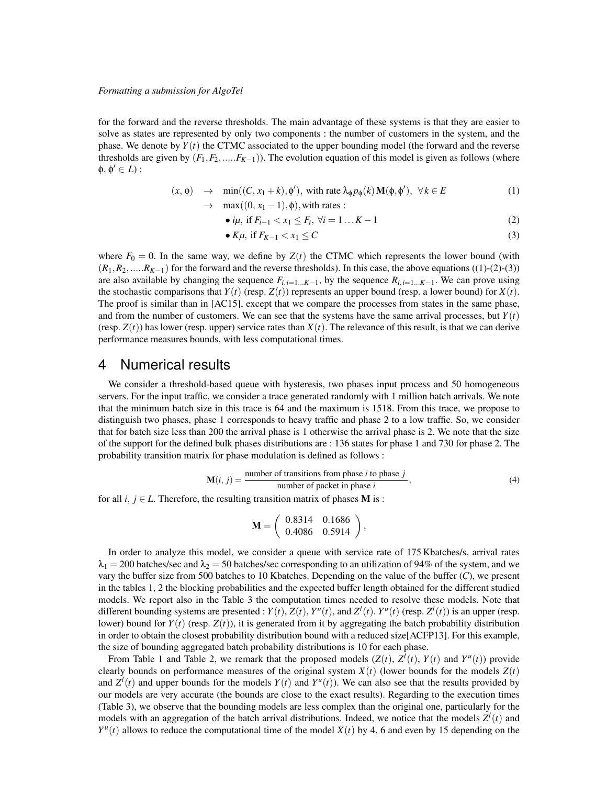for the forward and the reverse thresholds. The main advantage of these systems is that they are easier to solve as states are represented by only two components : the number of customers in the system, and the phase. We denote by  $Y(t)$  the CTMC associated to the upper bounding model (the forward and the reverse thresholds are given by  $(F_1, F_2, \ldots, F_{K-1})$ ). The evolution equation of this model is given as follows (where  $\phi, \phi' \in L$ ):

$$
(x, \phi) \rightarrow \min((C, x_1 + k), \phi'), \text{ with rate } \lambda_{\phi} p_{\phi}(k) \mathbf{M}(\phi, \phi'), \forall k \in E
$$
 (1)

$$
\rightarrow \quad \max((0, x_1 - 1), \phi), \text{with rates}:
$$

• 
$$
i\mu
$$
, if  $F_{i-1} < x_1 \le F_i$ ,  $\forall i = 1...K-1$  (2)

• 
$$
K\mu
$$
, if  $F_{K-1} < x_1 \leq C$  (3)

where  $F_0 = 0$ . In the same way, we define by  $Z(t)$  the CTMC which represents the lower bound (with  $(R_1, R_2, \ldots, R_{K-1})$  for the forward and the reverse thresholds). In this case, the above equations ((1)-(2)-(3)) are also available by changing the sequence  $F_{i,i=1...K-1}$ , by the sequence  $R_{i,i=1...K-1}$ . We can prove using the stochastic comparisons that  $Y(t)$  (resp.  $Z(t)$ ) represents an upper bound (resp. a lower bound) for  $X(t)$ . The proof is similar than in [AC15], except that we compare the processes from states in the same phase, and from the number of customers. We can see that the systems have the same arrival processes, but  $Y(t)$ (resp.  $Z(t)$ ) has lower (resp. upper) service rates than  $X(t)$ . The relevance of this result, is that we can derive performance measures bounds, with less computational times.

#### 4 Numerical results

We consider a threshold-based queue with hysteresis, two phases input process and 50 homogeneous servers. For the input traffic, we consider a trace generated randomly with 1 million batch arrivals. We note that the minimum batch size in this trace is 64 and the maximum is 1518. From this trace, we propose to distinguish two phases, phase 1 corresponds to heavy traffic and phase 2 to a low traffic. So, we consider that for batch size less than 200 the arrival phase is 1 otherwise the arrival phase is 2. We note that the size of the support for the defined bulk phases distributions are : 136 states for phase 1 and 730 for phase 2. The probability transition matrix for phase modulation is defined as follows :

$$
\mathbf{M}(i, j) = \frac{\text{number of transitions from phase } i \text{ to phase } j}{\text{number of packet in phase } i},\tag{4}
$$

for all *i*,  $j \in L$ . Therefore, the resulting transition matrix of phases **M** is :

$$
\mathbf{M} = \left( \begin{array}{cc} 0.8314 & 0.1686 \\ 0.4086 & 0.5914 \end{array} \right),
$$

In order to analyze this model, we consider a queue with service rate of 175 Kbatches/s, arrival rates  $\lambda_1 = 200$  batches/sec and  $\lambda_2 = 50$  batches/sec corresponding to an utilization of 94% of the system, and we vary the buffer size from 500 batches to 10 Kbatches. Depending on the value of the buffer (*C*), we present in the tables 1, 2 the blocking probabilities and the expected buffer length obtained for the different studied models. We report also in the Table 3 the computation times needed to resolve these models. Note that different bounding systems are presented :  $Y(t)$ ,  $Z(t)$ ,  $Y^u(t)$ , and  $Z^l(t)$ .  $Y^u(t)$  (resp.  $Z^l(t)$ ) is an upper (resp. lower) bound for  $Y(t)$  (resp.  $Z(t)$ ), it is generated from it by aggregating the batch probability distribution in order to obtain the closest probability distribution bound with a reduced size[ACFP13]. For this example, the size of bounding aggregated batch probability distributions is 10 for each phase.

From Table 1 and Table 2, we remark that the proposed models  $(Z(t), Z^l(t), Y(t)$  and  $Y^u(t))$  provide clearly bounds on performance measures of the original system  $X(t)$  (lower bounds for the models  $Z(t)$ ) and  $Z^l(t)$  and upper bounds for the models  $Y(t)$  and  $Y^u(t)$ ). We can also see that the results provided by our models are very accurate (the bounds are close to the exact results). Regarding to the execution times (Table 3), we observe that the bounding models are less complex than the original one, particularly for the models with an aggregation of the batch arrival distributions. Indeed, we notice that the models  $Z^l(t)$  and  $Y^u(t)$  allows to reduce the computational time of the model  $X(t)$  by 4, 6 and even by 15 depending on the